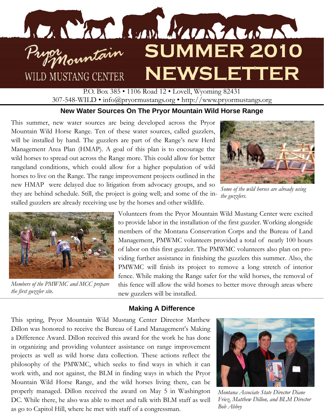

P.O. Box 385 • 1106 Road 12 • Lovell, Wyoming 82431 307-548-WILD • info@pryormustangs.org • http://www.pryormustangs.org

## **New Water Sources On The Pryor Mountain Wild Horse Range**

This summer, new water sources are being developed across the Pryor Mountain Wild Horse Range. Ten of these water sources, called guzzlers, will be installed by hand. The guzzlers are part of the Range's new Herd Management Area Plan (HMAP). A goal of this plan is to encourage the wild horses to spread out across the Range more. This could allow for better rangeland conditions, which could allow for a higher population of wild horses to live on the Range. The range improvement projects outlined in the new HMAP were delayed due to litigation from advocacy groups, and so they are behind schedule. Still, the project is going well; and some of the in-*the guzzlers.*  stalled guzzlers are already receiving use by the horses and other wildlife.



*Some of the wild horses are already using* 



*Members of the PMWMC and MCC prepare the first guzzler site.* 

Volunteers from the Pryor Mountain Wild Mustang Center were excited to provide labor in the installation of the first guzzler. Working alongside members of the Montana Conservation Corps and the Bureau of Land Management, PMWMC volunteers provided a total of nearly 100 hours of labor on this first guzzler. The PMWMC volunteers also plan on providing further assistance in finishing the guzzlers this summer. Also, the PMWMC will finish its project to remove a long stretch of interior fence. While making the Range safer for the wild horses, the removal of this fence will allow the wild horses to better move through areas where new guzzlers will be installed.

### **Making A Difference**

This spring, Pryor Mountain Wild Mustang Center Director Matthew Dillon was honored to receive the Bureau of Land Management's Making a Difference Award. Dillon received this award for the work he has done in organizing and providing volunteer assistance on range improvement projects as well as wild horse data collection. These actions reflect the philosophy of the PMWMC, which seeks to find ways in which it can work with, and not against, the BLM in finding ways in which the Pryor Mountain Wild Horse Range, and the wild horses living there, can be properly managed. Dillon received the award on May 5 in Washington DC. While there, he also was able to meet and talk with BLM staff as well as go to Capitol Hill, where he met with staff of a congressman.



*Montana Associate State Director Diane Friez, Matthew Dillon, and BLM Director Bob Abbey*